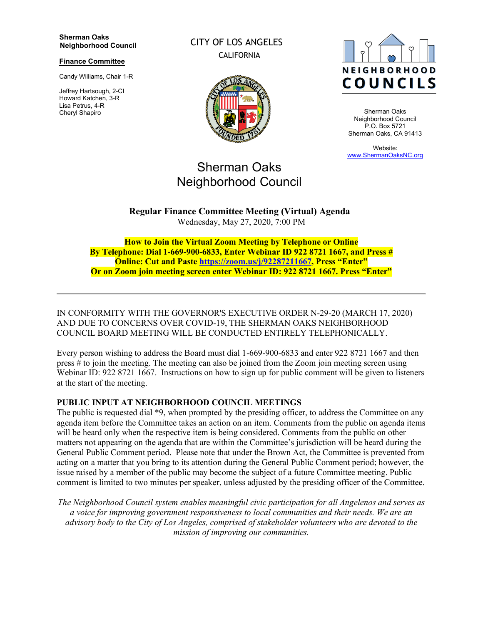#### **Sherman Oaks Neighborhood Council**

#### **Finance Committee**

Candy Williams, Chair 1-R

Jeffrey Hartsough, 2-CI Howard Katchen, 3-R Lisa Petrus, 4-R Cheryl Shapiro

CITY OF LOS ANGELES CALIFORNIA



# Sherman Oaks Neighborhood Council

**NEIGHBORHOOD COUNCILS** 

Sherman Oaks Neighborhood Council P.O. Box 5721 Sherman Oaks, CA 91413

Website: [www.ShermanOaksNC.org](http://www.shermanoaksnc.org/)

**Regular Finance Committee Meeting (Virtual) Agenda**  Wednesday, May 27, 2020, 7:00 PM

**How to Join the Virtual Zoom Meeting by Telephone or Online By Telephone: Dial 1-669-900-6833, Enter Webinar ID 922 8721 1667, and Press # Online: Cut and Paste [https://zoom.us/j/92287211667,](https://zoom.us/j/92287211667) Press "Enter" Or on Zoom join meeting screen enter Webinar ID: 922 8721 1667. Press "Enter"**

IN CONFORMITY WITH THE GOVERNOR'S EXECUTIVE ORDER N-29-20 (MARCH 17, 2020) AND DUE TO CONCERNS OVER COVID-19, THE SHERMAN OAKS NEIGHBORHOOD COUNCIL BOARD MEETING WILL BE CONDUCTED ENTIRELY TELEPHONICALLY.

Every person wishing to address the Board must dial 1-669-900-6833 and enter 922 8721 1667 and then press # to join the meeting. The meeting can also be joined from the Zoom join meeting screen using Webinar ID: 922 8721 1667. Instructions on how to sign up for public comment will be given to listeners at the start of the meeting.

### **PUBLIC INPUT AT NEIGHBORHOOD COUNCIL MEETINGS**

The public is requested dial \*9, when prompted by the presiding officer, to address the Committee on any agenda item before the Committee takes an action on an item. Comments from the public on agenda items will be heard only when the respective item is being considered. Comments from the public on other matters not appearing on the agenda that are within the Committee's jurisdiction will be heard during the General Public Comment period. Please note that under the Brown Act, the Committee is prevented from acting on a matter that you bring to its attention during the General Public Comment period; however, the issue raised by a member of the public may become the subject of a future Committee meeting. Public comment is limited to two minutes per speaker, unless adjusted by the presiding officer of the Committee.

*The Neighborhood Council system enables meaningful civic participation for all Angelenos and serves as a voice for improving government responsiveness to local communities and their needs. We are an advisory body to the City of Los Angeles, comprised of stakeholder volunteers who are devoted to the mission of improving our communities.*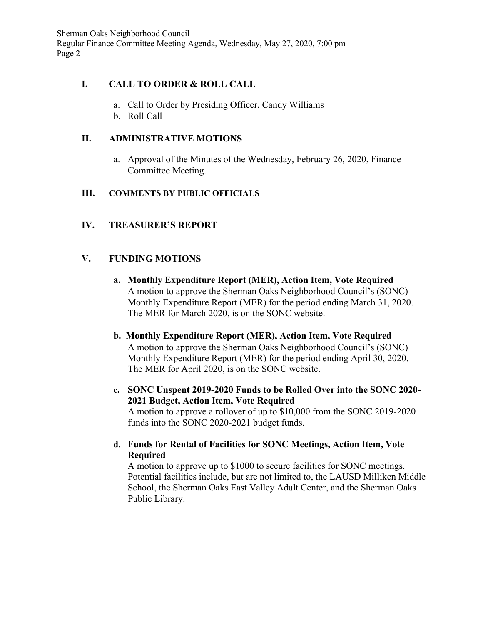Sherman Oaks Neighborhood Council Regular Finance Committee Meeting Agenda, Wednesday, May 27, 2020, 7;00 pm Page 2

# **I. CALL TO ORDER & ROLL CALL**

- a. Call to Order by Presiding Officer, Candy Williams
- b. Roll Call

# **II. ADMINISTRATIVE MOTIONS**

a. Approval of the Minutes of the Wednesday, February 26, 2020, Finance Committee Meeting.

# **III. COMMENTS BY PUBLIC OFFICIALS**

# **IV. TREASURER'S REPORT**

# **V. FUNDING MOTIONS**

- **a. Monthly Expenditure Report (MER), Action Item, Vote Required** A motion to approve the Sherman Oaks Neighborhood Council's (SONC) Monthly Expenditure Report (MER) for the period ending March 31, 2020. The MER for March 2020, is on the SONC website.
- **b. Monthly Expenditure Report (MER), Action Item, Vote Required** A motion to approve the Sherman Oaks Neighborhood Council's (SONC) Monthly Expenditure Report (MER) for the period ending April 30, 2020. The MER for April 2020, is on the SONC website.
- **c. SONC Unspent 2019-2020 Funds to be Rolled Over into the SONC 2020- 2021 Budget, Action Item, Vote Required** A motion to approve a rollover of up to \$10,000 from the SONC 2019-2020 funds into the SONC 2020-2021 budget funds.
- **d. Funds for Rental of Facilities for SONC Meetings, Action Item, Vote Required**

A motion to approve up to \$1000 to secure facilities for SONC meetings. Potential facilities include, but are not limited to, the LAUSD Milliken Middle School, the Sherman Oaks East Valley Adult Center, and the Sherman Oaks Public Library.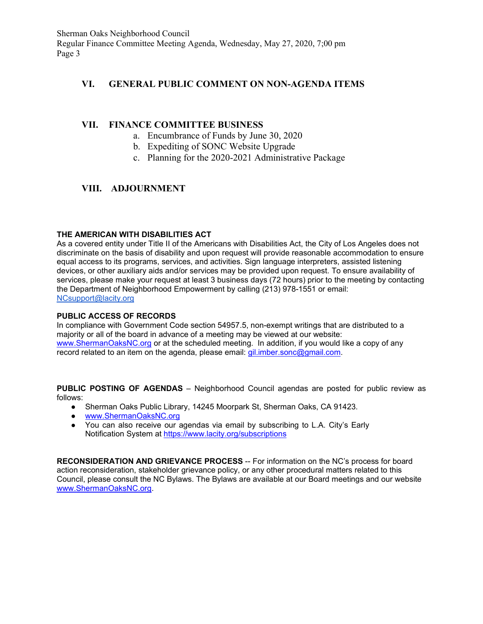Sherman Oaks Neighborhood Council Regular Finance Committee Meeting Agenda, Wednesday, May 27, 2020, 7;00 pm Page 3

### **VI. GENERAL PUBLIC COMMENT ON NON-AGENDA ITEMS**

### **VII. FINANCE COMMITTEE BUSINESS**

- a. Encumbrance of Funds by June 30, 2020
- b. Expediting of SONC Website Upgrade
- c. Planning for the 2020-2021 Administrative Package

# **VIII. ADJOURNMENT**

#### **THE AMERICAN WITH DISABILITIES ACT**

As a covered entity under Title II of the Americans with Disabilities Act, the City of Los Angeles does not discriminate on the basis of disability and upon request will provide reasonable accommodation to ensure equal access to its programs, services, and activities. Sign language interpreters, assisted listening devices, or other auxiliary aids and/or services may be provided upon request. To ensure availability of services, please make your request at least 3 business days (72 hours) prior to the meeting by contacting the Department of Neighborhood Empowerment by calling (213) 978-1551 or email: [NCsupport@lacity.org](mailto:NCsupport@lacity.org)

#### **PUBLIC ACCESS OF RECORDS**

In compliance with Government Code section 54957.5, non-exempt writings that are distributed to a majority or all of the board in advance of a meeting may be viewed at our website: [www.ShermanOaksNC.org](http://www.shermanoaksnc.org/) or at the scheduled meeting. In addition, if you would like a copy of any record related to an item on the agenda, please email: [gil.imber.sonc@gmail.com.](mailto:gil.imber.sonc@gmail.com)

**PUBLIC POSTING OF AGENDAS** – Neighborhood Council agendas are posted for public review as follows:

- Sherman Oaks Public Library, 14245 Moorpark St, Sherman Oaks, CA 91423.
- [www.ShermanOaksNC.org](http://www.shermanoaksnc.org/)
- You can also receive our agendas via email by subscribing to L.A. City's Early Notification System at<https://www.lacity.org/subscriptions>

**RECONSIDERATION AND GRIEVANCE PROCESS** -- For information on the NC's process for board action reconsideration, stakeholder grievance policy, or any other procedural matters related to this Council, please consult the NC Bylaws. The Bylaws are available at our Board meetings and our website [www.ShermanOaksNC.org.](http://www.shermanoaksnc.org/)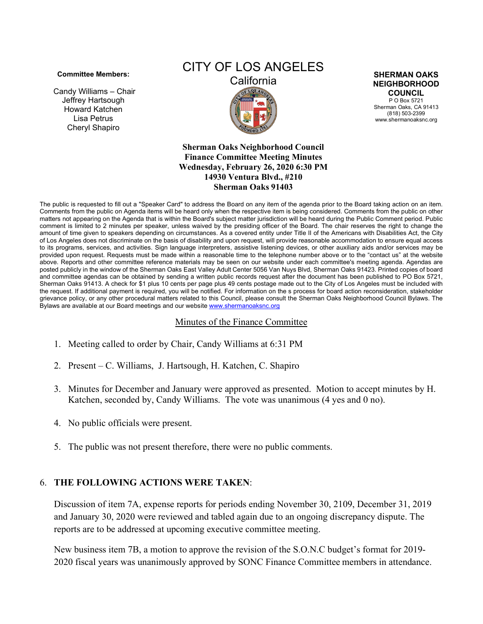#### **Committee Members:**

Candy Williams – Chair Jeffrey Hartsough Howard Katchen Lisa Petrus Cheryl Shapiro

# CITY OF LOS ANGELES



**SHERMAN OAKS NEIGHBORHOOD COUNCIL**

P O Box 5721 Sherman Oaks, CA 91413 (818) 503-2399 www.shermanoaksnc.org

**Sherman Oaks Neighborhood Council Finance Committee Meeting Minutes Wednesday, February 26, 2020 6:30 PM 14930 Ventura Blvd., #210 Sherman Oaks 91403**

The public is requested to fill out a "Speaker Card" to address the Board on any item of the agenda prior to the Board taking action on an item. Comments from the public on Agenda items will be heard only when the respective item is being considered. Comments from the public on other matters not appearing on the Agenda that is within the Board's subject matter jurisdiction will be heard during the Public Comment period. Public comment is limited to 2 minutes per speaker, unless waived by the presiding officer of the Board. The chair reserves the right to change the amount of time given to speakers depending on circumstances. As a covered entity under Title II of the Americans with Disabilities Act, the City of Los Angeles does not discriminate on the basis of disability and upon request, will provide reasonable accommodation to ensure equal access to its programs, services, and activities. Sign language interpreters, assistive listening devices, or other auxiliary aids and/or services may be provided upon request. Requests must be made within a reasonable time to the telephone number above or to the "contact us" at the website above. Reports and other committee reference materials may be seen on our website under each committee's meeting agenda. Agendas are posted publicly in the window of the Sherman Oaks East Valley Adult Center 5056 Van Nuys Blvd, Sherman Oaks 91423. Printed copies of board and committee agendas can be obtained by sending a written public records request after the document has been published to PO Box 5721, Sherman Oaks 91413. A check for \$1 plus 10 cents per page plus 49 cents postage made out to the City of Los Angeles must be included with the request. If additional payment is required, you will be notified. For information on the s process for board action reconsideration, stakeholder grievance policy, or any other procedural matters related to this Council, please consult the Sherman Oaks Neighborhood Council Bylaws. The Bylaws are available at our Board meetings and our websit[e www.shermanoaksnc.org](http://www.shermanoaksnc.org/)

# Minutes of the Finance Committee

- 1. Meeting called to order by Chair, Candy Williams at 6:31 PM
- 2. Present C. Williams, J. Hartsough, H. Katchen, C. Shapiro
- 3. Minutes for December and January were approved as presented. Motion to accept minutes by H. Katchen, seconded by, Candy Williams. The vote was unanimous (4 yes and 0 no).
- 4. No public officials were present.
- 5. The public was not present therefore, there were no public comments.

# 6. **THE FOLLOWING ACTIONS WERE TAKEN**:

Discussion of item 7A, expense reports for periods ending November 30, 2109, December 31, 2019 and January 30, 2020 were reviewed and tabled again due to an ongoing discrepancy dispute. The reports are to be addressed at upcoming executive committee meeting.

New business item 7B, a motion to approve the revision of the S.O.N.C budget's format for 2019- 2020 fiscal years was unanimously approved by SONC Finance Committee members in attendance.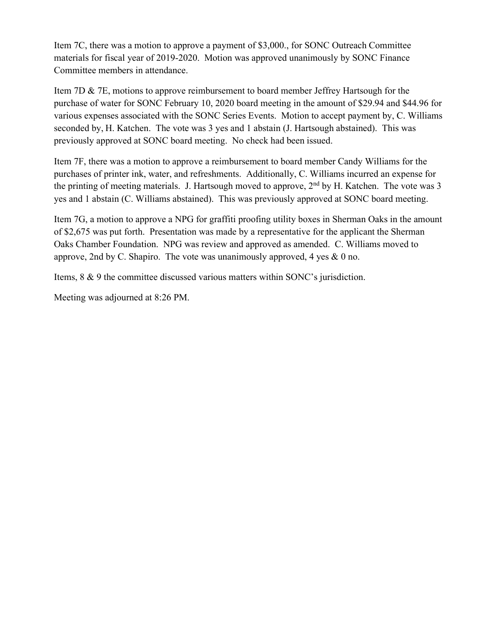Item 7C, there was a motion to approve a payment of \$3,000., for SONC Outreach Committee materials for fiscal year of 2019-2020. Motion was approved unanimously by SONC Finance Committee members in attendance.

Item 7D & 7E, motions to approve reimbursement to board member Jeffrey Hartsough for the purchase of water for SONC February 10, 2020 board meeting in the amount of \$29.94 and \$44.96 for various expenses associated with the SONC Series Events. Motion to accept payment by, C. Williams seconded by, H. Katchen. The vote was 3 yes and 1 abstain (J. Hartsough abstained). This was previously approved at SONC board meeting. No check had been issued.

Item 7F, there was a motion to approve a reimbursement to board member Candy Williams for the purchases of printer ink, water, and refreshments. Additionally, C. Williams incurred an expense for the printing of meeting materials. J. Hartsough moved to approve,  $2<sup>nd</sup>$  by H. Katchen. The vote was 3 yes and 1 abstain (C. Williams abstained). This was previously approved at SONC board meeting.

Item 7G, a motion to approve a NPG for graffiti proofing utility boxes in Sherman Oaks in the amount of \$2,675 was put forth. Presentation was made by a representative for the applicant the Sherman Oaks Chamber Foundation. NPG was review and approved as amended. C. Williams moved to approve, 2nd by C. Shapiro. The vote was unanimously approved, 4 yes & 0 no.

Items, 8 & 9 the committee discussed various matters within SONC's jurisdiction.

Meeting was adjourned at 8:26 PM.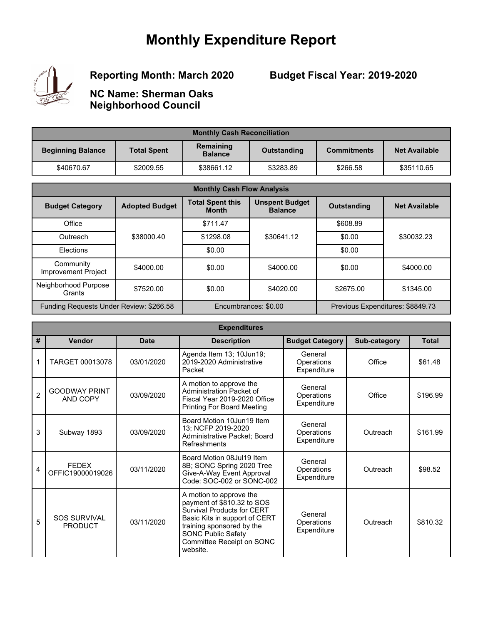# **Monthly Expenditure Report**



# **Reporting Month: March 2020**

# **Budget Fiscal Year: 2019-2020**

**NC Name: Sherman Oaks Neighborhood Council**

| <b>Monthly Cash Reconciliation</b> |                    |                             |             |                    |                      |  |  |
|------------------------------------|--------------------|-----------------------------|-------------|--------------------|----------------------|--|--|
| <b>Beginning Balance</b>           | <b>Total Spent</b> | Remaining<br><b>Balance</b> | Outstanding | <b>Commitments</b> | <b>Net Available</b> |  |  |
| \$40670.67                         | \$2009.55          | \$38661.12                  | \$3283.89   | \$266.58           | \$35110.65           |  |  |

| <b>Monthly Cash Flow Analysis</b>       |                       |                                         |                                         |                    |                                  |  |
|-----------------------------------------|-----------------------|-----------------------------------------|-----------------------------------------|--------------------|----------------------------------|--|
| <b>Budget Category</b>                  | <b>Adopted Budget</b> | <b>Total Spent this</b><br><b>Month</b> | <b>Unspent Budget</b><br><b>Balance</b> | <b>Outstanding</b> | <b>Net Available</b>             |  |
| Office                                  |                       | \$711.47                                |                                         | \$608.89           |                                  |  |
| Outreach                                | \$38000.40            | \$1298.08                               | \$30641.12                              | \$0.00             | \$30032.23                       |  |
| Elections                               |                       | \$0.00                                  |                                         | \$0.00             |                                  |  |
| Community<br><b>Improvement Project</b> | \$4000.00             | \$0.00                                  | \$4000.00                               | \$0.00             | \$4000.00                        |  |
| Neighborhood Purpose<br>Grants          | \$7520.00             | \$0.00                                  | \$4020.00                               | \$2675.00          | \$1345.00                        |  |
| Funding Requests Under Review: \$266.58 |                       |                                         | Encumbrances: \$0.00                    |                    | Previous Expenditures: \$8849.73 |  |

|                | <b>Expenditures</b>                   |             |                                                                                                                                                                                                                                |                                      |              |              |  |  |
|----------------|---------------------------------------|-------------|--------------------------------------------------------------------------------------------------------------------------------------------------------------------------------------------------------------------------------|--------------------------------------|--------------|--------------|--|--|
| #              | Vendor                                | <b>Date</b> | <b>Description</b>                                                                                                                                                                                                             | <b>Budget Category</b>               | Sub-category | <b>Total</b> |  |  |
| 1              | TARGET 00013078                       | 03/01/2020  | Agenda Item 13; 10Jun19;<br>2019-2020 Administrative<br>Packet                                                                                                                                                                 | General<br>Operations<br>Expenditure | Office       | \$61.48      |  |  |
| $\overline{2}$ | <b>GOODWAY PRINT</b><br>AND COPY      | 03/09/2020  | A motion to approve the<br>Administration Packet of<br>Fiscal Year 2019-2020 Office<br><b>Printing For Board Meeting</b>                                                                                                       | General<br>Operations<br>Expenditure | Office       | \$196.99     |  |  |
| 3              | Subway 1893                           | 03/09/2020  | Board Motion 10Jun19 Item<br>13; NCFP 2019-2020<br>Administrative Packet; Board<br>Refreshments                                                                                                                                | General<br>Operations<br>Expenditure | Outreach     | \$161.99     |  |  |
| 4              | <b>FEDEX</b><br>OFFIC19000019026      | 03/11/2020  | Board Motion 08Jul19 Item<br>8B; SONC Spring 2020 Tree<br>Give-A-Way Event Approval<br>Code: SOC-002 or SONC-002                                                                                                               | General<br>Operations<br>Expenditure | Outreach     | \$98.52      |  |  |
| 5              | <b>SOS SURVIVAL</b><br><b>PRODUCT</b> | 03/11/2020  | A motion to approve the<br>payment of \$810.32 to SOS<br><b>Survival Products for CERT</b><br>Basic Kits in support of CERT<br>training sponsored by the<br><b>SONC Public Safety</b><br>Committee Receipt on SONC<br>website. | General<br>Operations<br>Expenditure | Outreach     | \$810.32     |  |  |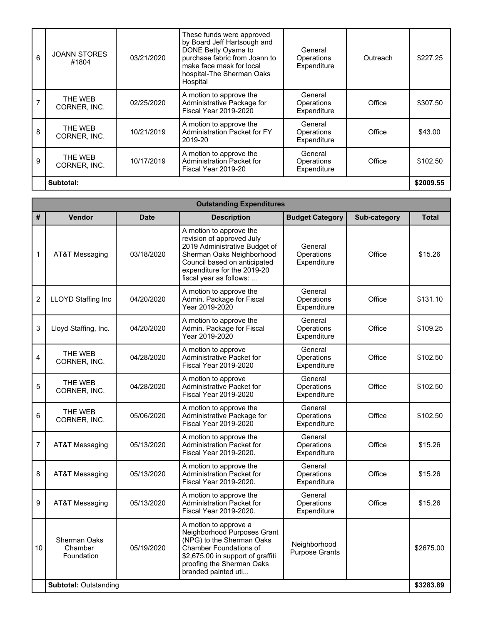| 6 | <b>JOANN STORES</b><br>#1804 | 03/21/2020 | These funds were approved<br>by Board Jeff Hartsough and<br>DONE Betty Oyama to<br>purchase fabric from Joann to<br>make face mask for local<br>hospital-The Sherman Oaks<br>Hospital | General<br>Operations<br>Expenditure | Outreach | \$227.25  |
|---|------------------------------|------------|---------------------------------------------------------------------------------------------------------------------------------------------------------------------------------------|--------------------------------------|----------|-----------|
|   | THE WEB<br>CORNER, INC.      | 02/25/2020 | A motion to approve the<br>Administrative Package for<br><b>Fiscal Year 2019-2020</b>                                                                                                 | General<br>Operations<br>Expenditure | Office   | \$307.50  |
| 8 | THE WEB<br>CORNER, INC.      | 10/21/2019 | A motion to approve the<br>Administration Packet for FY<br>2019-20                                                                                                                    | General<br>Operations<br>Expenditure | Office   | \$43.00   |
| 9 | THE WEB<br>CORNER, INC.      | 10/17/2019 | A motion to approve the<br>Administration Packet for<br>Fiscal Year 2019-20                                                                                                           | General<br>Operations<br>Expenditure | Office   | \$102.50  |
|   | Subtotal:                    |            |                                                                                                                                                                                       |                                      |          | \$2009.55 |

**The Committee Committee Committee** 

|                |                                              |             | <b>Outstanding Expenditures</b>                                                                                                                                                                              |                                       |              |              |
|----------------|----------------------------------------------|-------------|--------------------------------------------------------------------------------------------------------------------------------------------------------------------------------------------------------------|---------------------------------------|--------------|--------------|
| #              | Vendor                                       | <b>Date</b> | <b>Description</b>                                                                                                                                                                                           | <b>Budget Category</b>                | Sub-category | <b>Total</b> |
| 1              | AT&T Messaging                               | 03/18/2020  | A motion to approve the<br>revision of approved July<br>2019 Administrative Budget of<br>Sherman Oaks Neighborhood<br>Council based on anticipated<br>expenditure for the 2019-20<br>fiscal year as follows: | General<br>Operations<br>Expenditure  | Office       | \$15.26      |
| $\overline{2}$ | LLOYD Staffing Inc                           | 04/20/2020  | A motion to approve the<br>Admin. Package for Fiscal<br>Year 2019-2020                                                                                                                                       | General<br>Operations<br>Expenditure  | Office       | \$131.10     |
| 3              | Lloyd Staffing, Inc.                         | 04/20/2020  | A motion to approve the<br>Admin. Package for Fiscal<br>Year 2019-2020                                                                                                                                       | General<br>Operations<br>Expenditure  | Office       | \$109.25     |
| 4              | THE WEB<br>CORNER, INC.                      | 04/28/2020  | A motion to approve<br><b>Administrative Packet for</b><br><b>Fiscal Year 2019-2020</b>                                                                                                                      | General<br>Operations<br>Expenditure  | Office       | \$102.50     |
| 5              | THE WEB<br>CORNER, INC.                      | 04/28/2020  | A motion to approve<br>Administrative Packet for<br><b>Fiscal Year 2019-2020</b>                                                                                                                             | General<br>Operations<br>Expenditure  | Office       | \$102.50     |
| 6              | THE WEB<br>CORNER, INC.                      | 05/06/2020  | A motion to approve the<br>Administrative Package for<br>Fiscal Year 2019-2020                                                                                                                               | General<br>Operations<br>Expenditure  | Office       | \$102.50     |
| $\overline{7}$ | AT&T Messaging                               | 05/13/2020  | A motion to approve the<br><b>Administration Packet for</b><br>Fiscal Year 2019-2020.                                                                                                                        | General<br>Operations<br>Expenditure  | Office       | \$15.26      |
| 8              | AT&T Messaging                               | 05/13/2020  | A motion to approve the<br><b>Administration Packet for</b><br>Fiscal Year 2019-2020.                                                                                                                        | General<br>Operations<br>Expenditure  | Office       | \$15.26      |
| 9              | AT&T Messaging                               | 05/13/2020  | A motion to approve the<br>Administration Packet for<br>Fiscal Year 2019-2020.                                                                                                                               | General<br>Operations<br>Expenditure  | Office       | \$15.26      |
| 10             | <b>Sherman Oaks</b><br>Chamber<br>Foundation | 05/19/2020  | A motion to approve a<br>Neighborhood Purposes Grant<br>(NPG) to the Sherman Oaks<br><b>Chamber Foundations of</b><br>\$2,675.00 in support of graffiti<br>proofing the Sherman Oaks<br>branded painted uti  | Neighborhood<br><b>Purpose Grants</b> |              | \$2675.00    |
|                | <b>Subtotal: Outstanding</b>                 |             |                                                                                                                                                                                                              |                                       |              | \$3283.89    |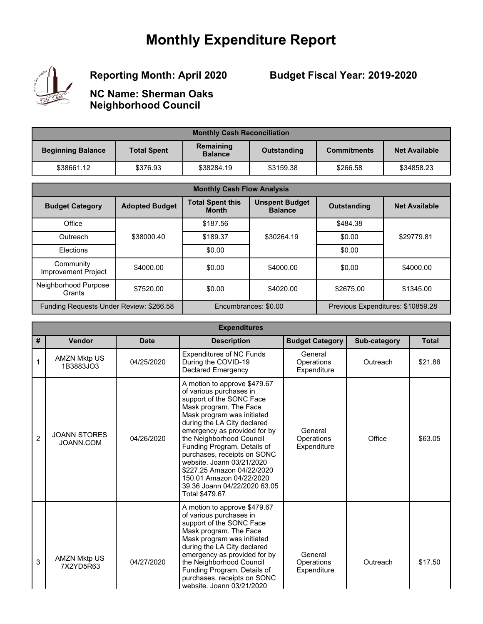# **Monthly Expenditure Report**



**Reporting Month: April 2020**

**Budget Fiscal Year: 2019-2020**

**NC Name: Sherman Oaks Neighborhood Council**

| <b>Monthly Cash Reconciliation</b> |                    |                             |             |                    |                      |  |
|------------------------------------|--------------------|-----------------------------|-------------|--------------------|----------------------|--|
| <b>Beginning Balance</b>           | <b>Total Spent</b> | Remaining<br><b>Balance</b> | Outstanding | <b>Commitments</b> | <b>Net Available</b> |  |
| \$38661.12                         | \$376.93           | \$38284.19                  | \$3159.38   | \$266.58           | \$34858.23           |  |

| <b>Monthly Cash Flow Analysis</b>       |                       |                                         |                                         |                                   |                      |  |
|-----------------------------------------|-----------------------|-----------------------------------------|-----------------------------------------|-----------------------------------|----------------------|--|
| <b>Budget Category</b>                  | <b>Adopted Budget</b> | <b>Total Spent this</b><br><b>Month</b> | <b>Unspent Budget</b><br><b>Balance</b> | <b>Outstanding</b>                | <b>Net Available</b> |  |
| Office                                  |                       | \$187.56                                |                                         | \$484.38                          |                      |  |
| Outreach                                | \$38000.40            | \$189.37                                | \$30264.19                              | \$0.00                            | \$29779.81           |  |
| Elections                               |                       | \$0.00                                  |                                         |                                   |                      |  |
| Community<br><b>Improvement Project</b> | \$4000.00             | \$0.00                                  | \$4000.00                               | \$0.00                            | \$4000.00            |  |
| Neighborhood Purpose<br>Grants          | \$7520.00             | \$0.00                                  | \$4020.00                               | \$2675.00                         | \$1345.00            |  |
| Funding Requests Under Review: \$266.58 |                       | Encumbrances: \$0.00                    |                                         | Previous Expenditures: \$10859.28 |                      |  |

|                | <b>Expenditures</b>              |             |                                                                                                                                                                                                                                                                                                                                                                                                                                               |                                      |              |              |  |  |
|----------------|----------------------------------|-------------|-----------------------------------------------------------------------------------------------------------------------------------------------------------------------------------------------------------------------------------------------------------------------------------------------------------------------------------------------------------------------------------------------------------------------------------------------|--------------------------------------|--------------|--------------|--|--|
| #              | Vendor                           | <b>Date</b> | <b>Description</b>                                                                                                                                                                                                                                                                                                                                                                                                                            | <b>Budget Category</b>               | Sub-category | <b>Total</b> |  |  |
| 1              | <b>AMZN Mktp US</b><br>1B3883JO3 | 04/25/2020  | <b>Expenditures of NC Funds</b><br>During the COVID-19<br><b>Declared Emergency</b>                                                                                                                                                                                                                                                                                                                                                           | General<br>Operations<br>Expenditure | Outreach     | \$21.86      |  |  |
| $\overline{2}$ | <b>JOANN STORES</b><br>JOANN.COM | 04/26/2020  | A motion to approve \$479.67<br>of various purchases in<br>support of the SONC Face<br>Mask program. The Face<br>Mask program was initiated<br>during the LA City declared<br>emergency as provided for by<br>the Neighborhood Council<br>Funding Program. Details of<br>purchases, receipts on SONC<br>website. Joann 03/21/2020<br>\$227.25 Amazon 04/22/2020<br>150.01 Amazon 04/22/2020<br>39.36 Joann 04/22/2020 63.05<br>Total \$479.67 | General<br>Operations<br>Expenditure | Office       | \$63.05      |  |  |
| 3              | <b>AMZN Mktp US</b><br>7X2YD5R63 | 04/27/2020  | A motion to approve \$479.67<br>of various purchases in<br>support of the SONC Face<br>Mask program. The Face<br>Mask program was initiated<br>during the LA City declared<br>emergency as provided for by<br>the Neighborhood Council<br>Funding Program. Details of<br>purchases, receipts on SONC<br>website. Joann 03/21/2020                                                                                                             | General<br>Operations<br>Expenditure | Outreach     | \$17.50      |  |  |